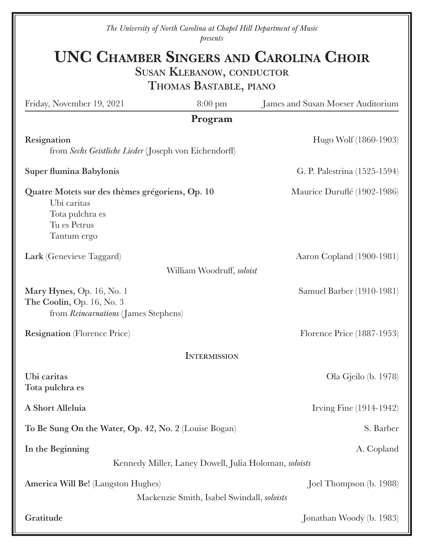*The University of North Carolina at Chapel Hill Department of Music presents*

# UNC Chamber Singers and Carolina Choir

SUSAN KLEBANOW, CONDUCTOR

Thomas Bastable, piano

| Friday, November 19, 2021                                                                                        | $8:00 \text{ pm}$                          | James and Susan Moeser Auditorium |  |
|------------------------------------------------------------------------------------------------------------------|--------------------------------------------|-----------------------------------|--|
| Program                                                                                                          |                                            |                                   |  |
| Resignation<br>from Sechs Geistliche Lieder (Joseph von Eichendorff)                                             |                                            | Hugo Wolf (1860-1903)             |  |
| Super flumina Babylonis                                                                                          |                                            | G. P. Palestrina (1525-1594)      |  |
| Quatre Motets sur des thèmes grégoriens, Op. 10<br>Ubi caritas<br>Tota pulchra es<br>Tu es Petrus<br>Tantum ergo |                                            | Maurice Duruflé (1902-1986)       |  |
| Lark (Genevieve Taggard)                                                                                         |                                            | Aaron Copland (1900-1981)         |  |
| William Woodruff, soloist                                                                                        |                                            |                                   |  |
| Mary Hynes, Op. 16, No. 1<br>The Coolin, Op. 16, No. 3<br>from <i>Reincarnations</i> (James Stephens)            |                                            | Samuel Barber (1910-1981)         |  |
| <b>Resignation</b> (Florence Price)                                                                              |                                            | Florence Price (1887-1953)        |  |
| <b>INTERMISSION</b>                                                                                              |                                            |                                   |  |
| Ubi caritas<br>Tota pulchra es                                                                                   |                                            | Ola Gjeilo (b. 1978)              |  |
| A Short Alleluia                                                                                                 |                                            | Irving Fine (1914-1942)           |  |
| To Be Sung On the Water, Op. 42, No. 2 (Louise Bogan)                                                            |                                            | S. Barber                         |  |
| In the Beginning                                                                                                 |                                            | A. Copland                        |  |
| Kennedy Miller, Laney Dowell, Julia Holoman, soloists                                                            |                                            |                                   |  |
| America Will Be! (Langston Hughes)                                                                               | Mackenzie Smith, Isabel Swindall, soloists | Joel Thompson (b. 1988)           |  |
| Gratitude                                                                                                        |                                            | Jonathan Woody (b. 1983)          |  |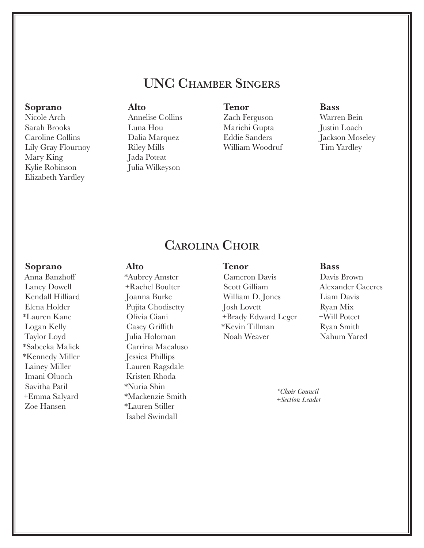# UNC Chamber Singers

#### Soprano

Nicole Arch Sarah Brooks Caroline Collins Lily Gray Flournoy Mary King Kylie Robinson Elizabeth Yardley

#### Alto

Annelise Collins Luna Hou Dalia Marquez Riley Mills Jada Poteat Julia Wilkeyson

#### Tenor

Zach Ferguson Marichi Gupta Eddie Sanders William Woodruf

#### Bass

Warren Bein Justin Loach Jackson Moseley Tim Yardley

# Carolina Choir

#### Soprano

Anna Banzhoff Laney Dowell Kendall Hilliard Elena Holder \*Lauren Kane Logan Kelly Taylor Loyd \*Sabeeka Malick \*Kennedy Miller Lainey Miller Imani Oluoch Savitha Patil +Emma Salyard Zoe Hansen

## Alto

\*Aubrey Amster +Rachel Boulter Joanna Burke Pujita Chodisetty Olivia Ciani Casey Griffith Julia Holoman Carrina Macaluso Jessica Phillips Lauren Ragsdale Kristen Rhoda \*Nuria Shin \*Mackenzie Smith \*Lauren Stiller Isabel Swindall

## Tenor

Cameron Davis Scott Gilliam William D. Jones Josh Lovett +Brady Edward Leger \*Kevin Tillman Noah Weaver

#### **Bass**

Davis Brown Alexander Caceres Liam Davis Ryan Mix +Will Poteet Ryan Smith Nahum Yared

*\*Choir Council +Section Leader*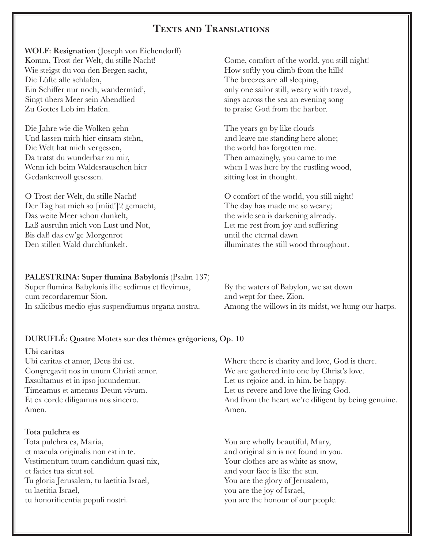## Texts and Translations

WOLF: Resignation (Joseph von Eichendorff) Komm, Trost der Welt, du stille Nacht! Come, comfort of the world, you still night! Wie steigst du von den Bergen sacht, How softly you climb from the hills! Die Lüfte alle schlafen, The breezes are all sleeping, Ein Schiffer nur noch, wandermüd', only one sailor still, weary with travel, Singt übers Meer sein Abendlied sings across the sea an evening song Zu Gottes Lob im Hafen. to praise God from the harbor.

Die Jahre wie die Wolken gehn The years go by like clouds Und lassen mich hier einsam stehn, and leave me standing here alone; Die Welt hat mich vergessen, the world has forgotten me. Da tratst du wunderbar zu mir, Then amazingly, you came to me Gedankenvoll gesessen. Sitting lost in thought.

O Trost der Welt, du stille Nacht! O comfort of the world, you still night! Der Tag hat mich so [müd']2 gemacht, The day has made me so weary; Das weite Meer schon dunkelt, the wide sea is darkening already. Laß ausruhn mich von Lust und Not,<br>Let me rest from joy and suffering Bis daß das ew'ge Morgenrot until the eternal dawn Den stillen Wald durchfunkelt. illuminates the still wood throughout.

PALESTRINA: Super flumina Babylonis (Psalm 137) Super flumina Babylonis illic sedimus et flevimus, By the waters of Babylon, we sat down cum recordaremur Sion.  $\qquad \qquad \text{and wept for the}e, Zion.$ 

Wenn ich beim Waldesrauschen hier when I was here by the rustling wood,

In salicibus medio ejus suspendiumus organa nostra. Among the willows in its midst, we hung our harps.

#### DURUFLÉ: Quatre Motets sur des thèmes grégoriens, Op. 10

#### Ubi caritas

Exsultamus et in ipso jucundemur. Let us rejoice and, in him, be happy. Timeamus et amemus Deum vivum. Let us revere and love the living God. Amen. Amen.

#### Tota pulchra es

Tota pulchra es, Maria,  $\qquad \qquad \text{You are wholly beautiful, Mary},$ et macula originalis non est in te. and original sin is not found in you. Vestimentum tuum candidum quasi nix, Your clothes are as white as snow, et facies tua sicut sol. and your face is like the sun. Tu gloria Jerusalem, tu laetitia Israel, You are the glory of Jerusalem, tu laetitia Israel, you are the joy of Israel, tu honorificentia populi nostri. you are the honour of our people.

Ubi caritas et amor, Deus ibi est. Where there is charity and love, God is there. Congregavit nos in unum Christi amor. We are gathered into one by Christ's love. Et ex corde diligamus nos sincero. And from the heart we're diligent by being genuine.